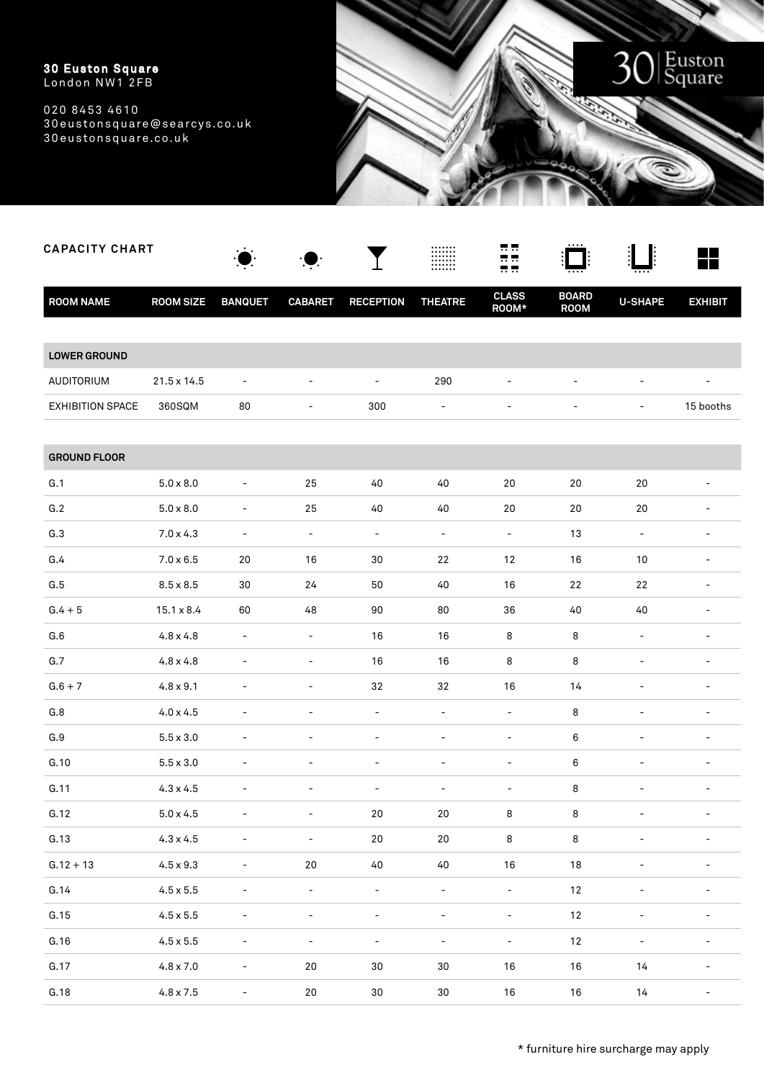

| <b>CAPACITY CHART</b> |                   |                              |                          |                          |                          | <b></b>                  |                             |                          | a pro                    |
|-----------------------|-------------------|------------------------------|--------------------------|--------------------------|--------------------------|--------------------------|-----------------------------|--------------------------|--------------------------|
| <b>ROOM NAME</b>      | <b>ROOM SIZE</b>  | <b>BANQUET</b>               | <b>CABARET</b>           | <b>RECEPTION</b>         | <b>THEATRE</b>           | <b>CLASS</b><br>ROOM*    | <b>BOARD</b><br><b>ROOM</b> | <b>U-SHAPE</b>           | <b>EXHIBIT</b>           |
|                       |                   |                              |                          |                          |                          |                          |                             |                          |                          |
| <b>LOWER GROUND</b>   |                   |                              |                          |                          |                          |                          |                             |                          |                          |
| AUDITORIUM            | 21.5 x 14.5       | $\overline{\phantom{a}}$     | $\overline{\phantom{a}}$ | $\overline{\phantom{a}}$ | 290                      |                          | $\overline{a}$              | $\overline{\phantom{0}}$ |                          |
| EXHIBITION SPACE      | 360SQM            | 80                           |                          | 300                      | $\overline{\phantom{a}}$ |                          |                             | -                        | 15 booths                |
|                       |                   |                              |                          |                          |                          |                          |                             |                          |                          |
| <b>GROUND FLOOR</b>   |                   |                              |                          |                          |                          |                          |                             |                          |                          |
| G.1                   | $5.0\times8.0$    | $\overline{a}$               | 25                       | $40\,$                   | $40$                     | 20                       | $20\,$                      | $20\,$                   |                          |
| G.2                   | $5.0 \times 8.0$  |                              | 25                       | 40                       | 40                       | $20\,$                   | 20                          | 20                       |                          |
| G.3                   | $7.0 \times 4.3$  | $\qquad \qquad -$            | $\overline{\phantom{a}}$ | $\overline{\phantom{a}}$ | $\overline{\phantom{a}}$ | $\overline{\phantom{a}}$ | 13                          | $\overline{\phantom{a}}$ | $\overline{\phantom{a}}$ |
| G.4                   | $7.0 \times 6.5$  | 20                           | 16                       | 30                       | 22                       | 12                       | 16                          | 10                       |                          |
| G.5                   | $8.5 \times 8.5$  | 30                           | 24                       | 50                       | 40                       | 16                       | 22                          | 22                       |                          |
| $G.4 + 5$             | $15.1 \times 8.4$ | 60                           | 48                       | 90                       | 80                       | 36                       | 40                          | 40                       |                          |
| G.6                   | $4.8 \times 4.8$  | $\overline{a}$               | L,                       | 16                       | 16                       | 8                        | 8                           | $\overline{\phantom{0}}$ |                          |
| G.7                   | $4.8 \times 4.8$  |                              | $\overline{a}$           | $16\,$                   | 16                       | 8                        | 8                           | $\overline{a}$           |                          |
| $G.6 + 7$             | $4.8 \times 9.1$  |                              | $\overline{a}$           | 32                       | 32                       | 16                       | 14                          | $\overline{\phantom{0}}$ | $\overline{a}$           |
| G.8                   | $4.0 \times 4.5$  |                              |                          | $\overline{\phantom{a}}$ |                          | $\overline{a}$           | 8                           | $\overline{a}$           |                          |
| G.9                   | $5.5 \times 3.0$  |                              |                          | $\overline{a}$           |                          | $\overline{\phantom{a}}$ | 6                           | $\overline{a}$           |                          |
| G.10                  | $5.5 \times 3.0$  |                              |                          | $\overline{a}$           |                          |                          | 6                           |                          |                          |
| G.11                  | $4.3 \times 4.5$  |                              |                          | $\overline{\phantom{a}}$ |                          |                          | 8                           |                          |                          |
| G.12                  | $5.0\times4.5$    |                              |                          | 20                       | $20\,$                   | 8                        | 8                           |                          |                          |
| G.13                  | $4.3\times4.5$    |                              | $\overline{\phantom{a}}$ | $20\,$                   | 20                       | 8                        | $\bf 8$                     |                          |                          |
| $G.12 + 13$           | $4.5\times9.3$    | $\qquad \qquad \blacksquare$ | $20\,$                   | 40                       | $40\,$                   | $16\,$                   | $18\,$                      | $\overline{\phantom{0}}$ |                          |
| G.14                  | $4.5\times5.5$    |                              | $\qquad \qquad -$        | $\overline{\phantom{a}}$ | $\overline{\phantom{a}}$ | $\overline{\phantom{a}}$ | 12                          | $\overline{a}$           |                          |
| G.15                  | $4.5\times5.5$    |                              |                          |                          |                          | $\overline{\phantom{0}}$ | $12\,$                      |                          |                          |
| G.16                  | $4.5\times5.5$    | $\qquad \qquad -$            | $\qquad \qquad -$        | $\overline{\phantom{a}}$ | $\qquad \qquad -$        | $\blacksquare$           | $12\,$                      | -                        | $\overline{\phantom{0}}$ |
| G.17                  | $4.8\times7.0$    |                              | $20\,$                   | $30\,$                   | $30\,$                   | 16                       | $16\,$                      | 14                       |                          |
| G.18                  | $4.8\times 7.5$   |                              | $20\,$                   | $30\,$                   | $30\,$                   | $16\,$                   | $16\,$                      | $14$                     |                          |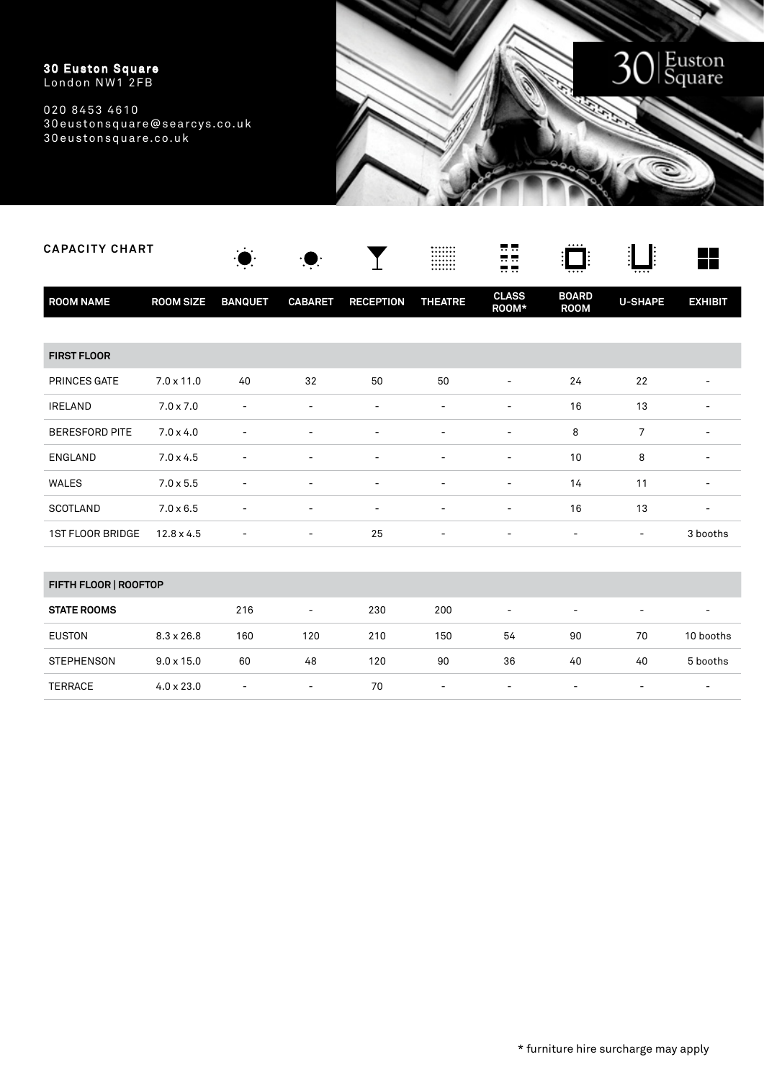

| <b>CAPACITY CHART</b> |                   |                          |                          |                          | <br><br><br><br>.<br>        | <br><b></b><br>          |                             |                              | <b>The Second Second</b> |
|-----------------------|-------------------|--------------------------|--------------------------|--------------------------|------------------------------|--------------------------|-----------------------------|------------------------------|--------------------------|
| <b>ROOM NAME</b>      | <b>ROOM SIZE</b>  | <b>BANQUET</b>           | <b>CABARET</b>           | <b>RECEPTION</b>         | <b>THEATRE</b>               | <b>CLASS</b><br>ROOM*    | <b>BOARD</b><br><b>ROOM</b> | <b>U-SHAPE</b>               | <b>EXHIBIT</b>           |
|                       |                   |                          |                          |                          |                              |                          |                             |                              |                          |
| <b>FIRST FLOOR</b>    |                   |                          |                          |                          |                              |                          |                             |                              |                          |
| PRINCES GATE          | $7.0 \times 11.0$ | 40                       | 32                       | 50                       | 50                           |                          | 24                          | 22                           |                          |
| <b>IRELAND</b>        | $7.0 \times 7.0$  | $\overline{\phantom{0}}$ | $\overline{\phantom{a}}$ | $\overline{\phantom{a}}$ | $\qquad \qquad \blacksquare$ | $\overline{\phantom{a}}$ | 16                          | 13                           |                          |
| <b>BERESFORD PITE</b> | $7.0 \times 4.0$  |                          | $\overline{\phantom{0}}$ |                          |                              | $\overline{\phantom{a}}$ | 8                           | $\overline{7}$               |                          |
| <b>ENGLAND</b>        | $7.0 \times 4.5$  |                          |                          | $\overline{a}$           |                              | $\overline{a}$           | 10                          | 8                            | $\overline{\phantom{a}}$ |
| <b>WALES</b>          | $7.0 \times 5.5$  |                          | $\overline{a}$           | $\overline{\phantom{a}}$ | $\overline{\phantom{0}}$     | $\overline{\phantom{a}}$ | 14                          | 11                           | $\overline{\phantom{a}}$ |
| <b>SCOTLAND</b>       | $7.0 \times 6.5$  |                          | $\overline{\phantom{a}}$ | $\overline{\phantom{a}}$ | $\qquad \qquad \blacksquare$ | $\overline{\phantom{a}}$ | 16                          | 13                           | $\overline{\phantom{a}}$ |
| 1ST FLOOR BRIDGE      | $12.8 \times 4.5$ | $\overline{a}$           | $\overline{\phantom{a}}$ | 25                       | $\qquad \qquad \blacksquare$ | $\overline{\phantom{a}}$ | $\overline{\phantom{a}}$    | $\overline{\phantom{a}}$     | 3 booths                 |
|                       |                   |                          |                          |                          |                              |                          |                             |                              |                          |
| FIFTH FLOOR   ROOFTOP |                   |                          |                          |                          |                              |                          |                             |                              |                          |
| <b>STATE ROOMS</b>    |                   | 216                      | $\overline{\phantom{a}}$ | 230                      | 200                          | $\overline{\phantom{a}}$ | $\overline{\phantom{0}}$    | $\overline{\phantom{a}}$     |                          |
| <b>EUSTON</b>         | $8.3 \times 26.8$ | 160                      | 120                      | 210                      | 150                          | 54                       | 90                          | 70                           | 10 booths                |
| <b>STEPHENSON</b>     | $9.0 \times 15.0$ | 60                       | 48                       | 120                      | 90                           | 36                       | 40                          | 40                           | 5 booths                 |
| <b>TERRACE</b>        | $4.0 \times 23.0$ | $\overline{a}$           | $\overline{\phantom{a}}$ | 70                       | $\qquad \qquad \blacksquare$ | $\overline{\phantom{a}}$ | $\overline{\phantom{a}}$    | $\qquad \qquad \blacksquare$ |                          |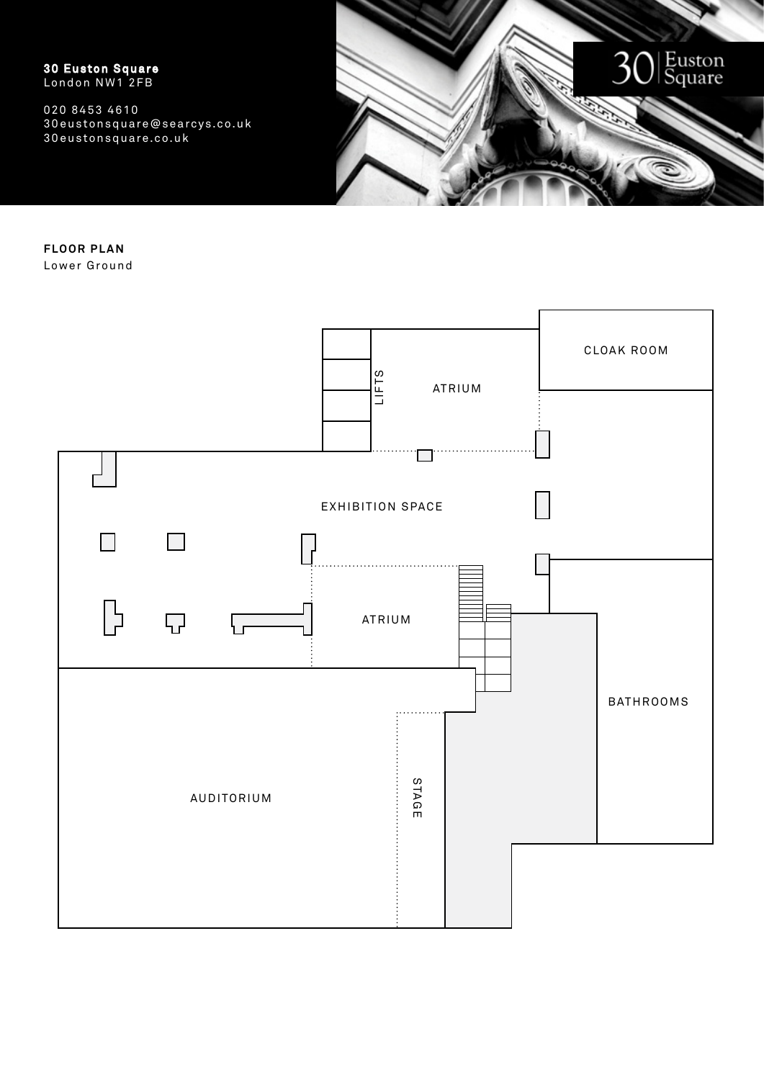020 8453 4610 30eustonsquare@searcys.co.uk 30eustonsquare.co.uk



**FLOOR PLAN** Lower Ground

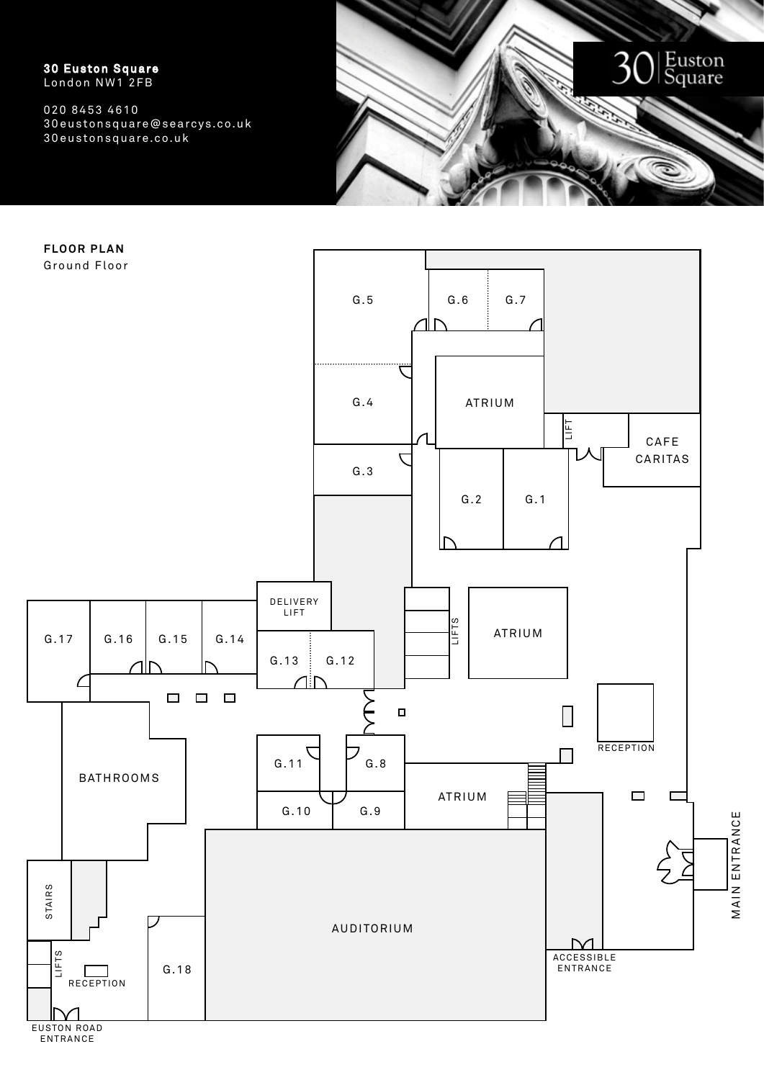020 8453 4610 30eustonsquare@searcys.co.uk 30eustonsquare.co.uk



**FLOOR PLAN**



E U STO N R OA D ENTRANCE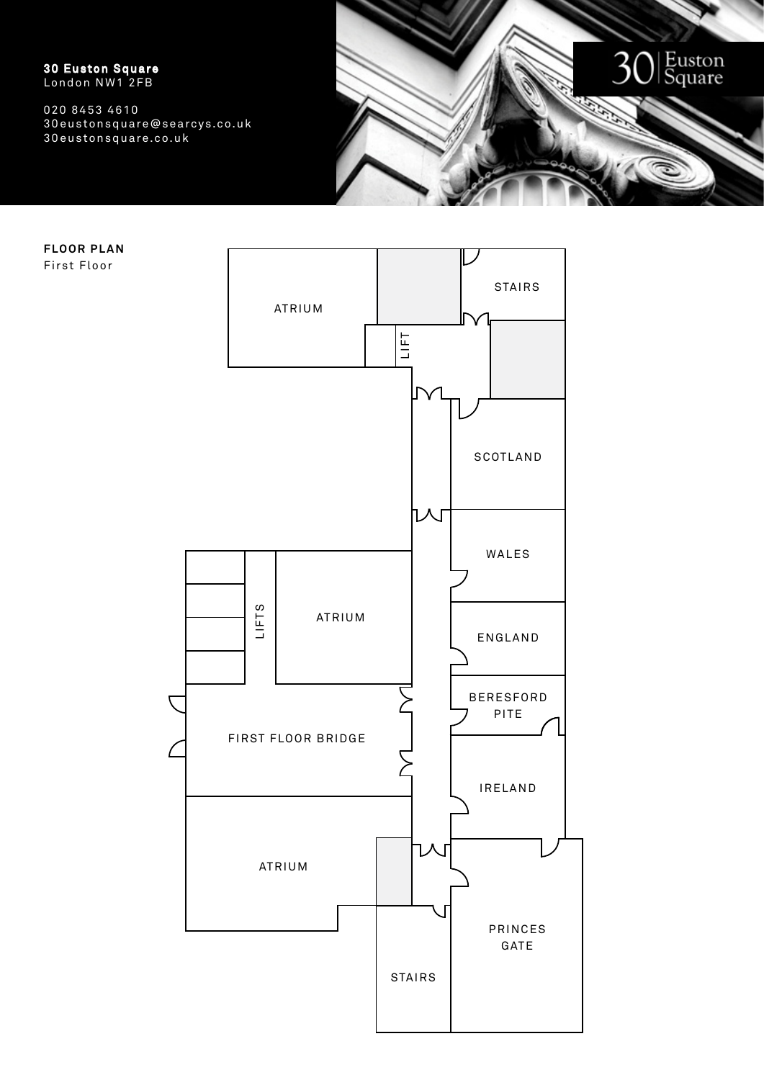

**FLOOR PLAN** First Floor